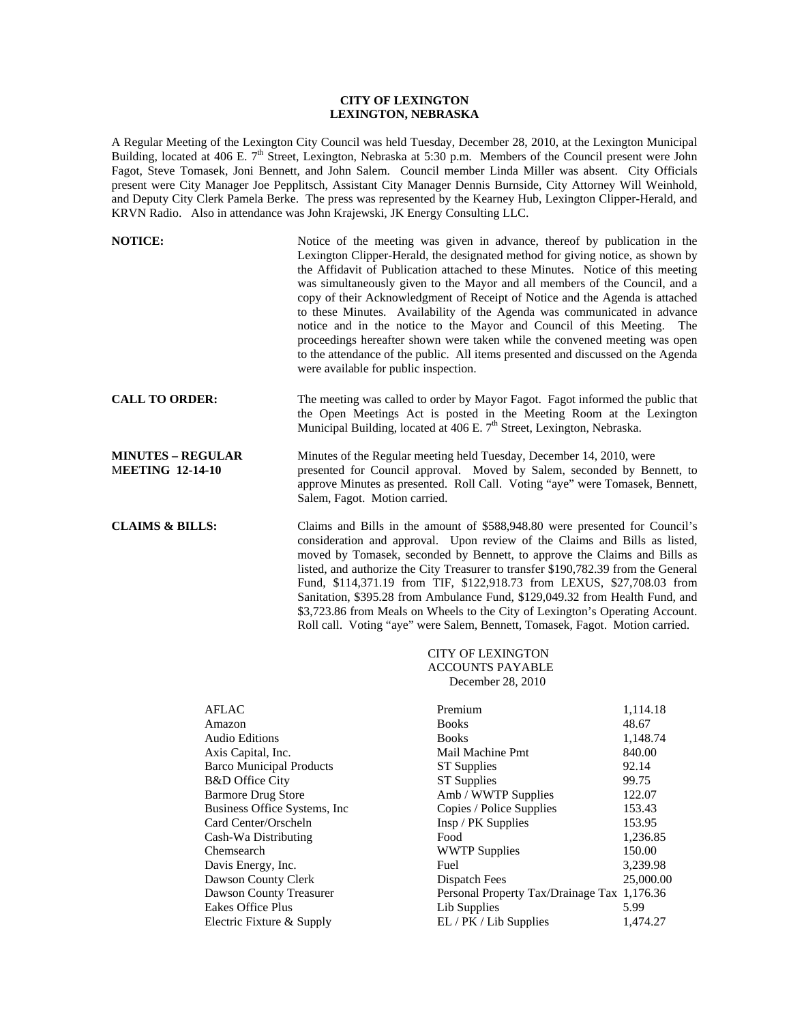## **CITY OF LEXINGTON LEXINGTON, NEBRASKA**

A Regular Meeting of the Lexington City Council was held Tuesday, December 28, 2010, at the Lexington Municipal Building, located at 406 E.  $7<sup>th</sup>$  Street, Lexington, Nebraska at 5:30 p.m. Members of the Council present were John Fagot, Steve Tomasek, Joni Bennett, and John Salem. Council member Linda Miller was absent. City Officials present were City Manager Joe Pepplitsch, Assistant City Manager Dennis Burnside, City Attorney Will Weinhold, and Deputy City Clerk Pamela Berke. The press was represented by the Kearney Hub, Lexington Clipper-Herald, and KRVN Radio. Also in attendance was John Krajewski, JK Energy Consulting LLC.

| <b>NOTICE:</b>                                      | Notice of the meeting was given in advance, thereof by publication in the<br>Lexington Clipper-Herald, the designated method for giving notice, as shown by<br>the Affidavit of Publication attached to these Minutes. Notice of this meeting<br>was simultaneously given to the Mayor and all members of the Council, and a<br>copy of their Acknowledgment of Receipt of Notice and the Agenda is attached<br>to these Minutes. Availability of the Agenda was communicated in advance<br>notice and in the notice to the Mayor and Council of this Meeting. The<br>proceedings hereafter shown were taken while the convened meeting was open<br>to the attendance of the public. All items presented and discussed on the Agenda<br>were available for public inspection. |
|-----------------------------------------------------|-------------------------------------------------------------------------------------------------------------------------------------------------------------------------------------------------------------------------------------------------------------------------------------------------------------------------------------------------------------------------------------------------------------------------------------------------------------------------------------------------------------------------------------------------------------------------------------------------------------------------------------------------------------------------------------------------------------------------------------------------------------------------------|
| <b>CALL TO ORDER:</b>                               | The meeting was called to order by Mayor Fagot. Fagot informed the public that<br>the Open Meetings Act is posted in the Meeting Room at the Lexington<br>Municipal Building, located at 406 E. 7 <sup>th</sup> Street, Lexington, Nebraska.                                                                                                                                                                                                                                                                                                                                                                                                                                                                                                                                  |
| <b>MINUTES - REGULAR</b><br><b>MEETING 12-14-10</b> | Minutes of the Regular meeting held Tuesday, December 14, 2010, were<br>presented for Council approval. Moved by Salem, seconded by Bennett, to<br>approve Minutes as presented. Roll Call. Voting "aye" were Tomasek, Bennett,<br>Salem, Fagot. Motion carried.                                                                                                                                                                                                                                                                                                                                                                                                                                                                                                              |
| <b>CLAIMS &amp; BILLS:</b>                          | Claims and Bills in the amount of \$588,948.80 were presented for Council's<br>consideration and approval. Upon review of the Claims and Bills as listed,<br>moved by Tomasek, seconded by Bennett, to approve the Claims and Bills as<br>listed, and authorize the City Treasurer to transfer \$190,782.39 from the General<br>Fund, \$114,371.19 from TIF, \$122,918.73 from LEXUS, \$27,708.03 from<br>Sanitation, \$395.28 from Ambulance Fund, \$129,049.32 from Health Fund, and<br>\$3,723.86 from Meals on Wheels to the City of Lexington's Operating Account.                                                                                                                                                                                                       |

# CITY OF LEXINGTON ACCOUNTS PAYABLE December 28, 2010

Roll call. Voting "aye" were Salem, Bennett, Tomasek, Fagot. Motion carried.

| <b>AFLAC</b>                    | Premium                                     | 1,114.18  |
|---------------------------------|---------------------------------------------|-----------|
| Amazon                          | <b>Books</b>                                | 48.67     |
| <b>Audio Editions</b>           | <b>Books</b>                                | 1,148.74  |
| Axis Capital, Inc.              | Mail Machine Pmt                            | 840.00    |
| <b>Barco Municipal Products</b> | <b>ST</b> Supplies                          | 92.14     |
| <b>B&amp;D</b> Office City      | <b>ST</b> Supplies                          | 99.75     |
| <b>Barmore Drug Store</b>       | Amb / WWTP Supplies                         | 122.07    |
| Business Office Systems, Inc.   | Copies / Police Supplies                    | 153.43    |
| Card Center/Orscheln            | Insp / PK Supplies                          | 153.95    |
| Cash-Wa Distributing            | Food                                        | 1,236.85  |
| Chemsearch                      | <b>WWTP Supplies</b>                        | 150.00    |
| Davis Energy, Inc.              | Fuel                                        | 3,239.98  |
| Dawson County Clerk             | Dispatch Fees                               | 25,000.00 |
| Dawson County Treasurer         | Personal Property Tax/Drainage Tax 1,176.36 |           |
| Eakes Office Plus               | Lib Supplies                                | 5.99      |
| Electric Fixture & Supply       | EL / PK / Lib Supplies                      | 1.474.27  |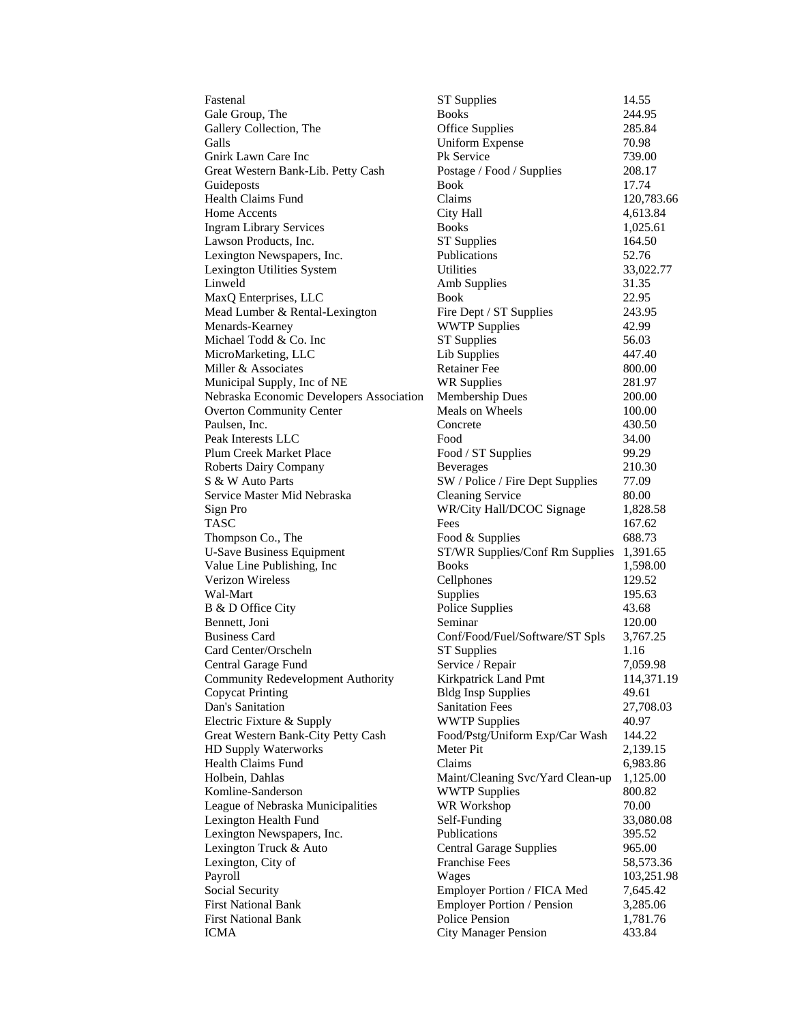| Fastenal                                                        | <b>ST</b> Supplies                                       | 14.55                  |
|-----------------------------------------------------------------|----------------------------------------------------------|------------------------|
| Gale Group, The                                                 | <b>Books</b>                                             | 244.95                 |
| Gallery Collection, The                                         | <b>Office Supplies</b>                                   | 285.84                 |
| Galls                                                           | <b>Uniform Expense</b>                                   | 70.98                  |
| Gnirk Lawn Care Inc                                             | <b>Pk Service</b>                                        | 739.00                 |
| Great Western Bank-Lib. Petty Cash                              | Postage / Food / Supplies                                | 208.17                 |
| Guideposts                                                      | Book                                                     | 17.74                  |
| Health Claims Fund                                              | Claims                                                   | 120,783.66             |
| Home Accents                                                    | City Hall                                                | 4,613.84               |
| <b>Ingram Library Services</b>                                  | <b>Books</b>                                             | 1,025.61               |
| Lawson Products, Inc.                                           | <b>ST Supplies</b>                                       | 164.50                 |
| Lexington Newspapers, Inc.                                      | Publications                                             | 52.76                  |
| Lexington Utilities System                                      | Utilities                                                | 33,022.77              |
| Linweld                                                         | Amb Supplies                                             | 31.35                  |
| MaxQ Enterprises, LLC                                           | Book                                                     | 22.95                  |
| Mead Lumber & Rental-Lexington                                  | Fire Dept / ST Supplies                                  | 243.95                 |
| Menards-Kearney                                                 | <b>WWTP Supplies</b>                                     | 42.99                  |
| Michael Todd & Co. Inc                                          | <b>ST Supplies</b>                                       | 56.03                  |
| MicroMarketing, LLC                                             | Lib Supplies                                             | 447.40                 |
| Miller & Associates                                             | <b>Retainer</b> Fee                                      | 800.00                 |
| Municipal Supply, Inc of NE                                     | <b>WR Supplies</b>                                       | 281.97                 |
| Nebraska Economic Developers Association                        | <b>Membership Dues</b>                                   | 200.00                 |
| <b>Overton Community Center</b>                                 | Meals on Wheels                                          | 100.00                 |
| Paulsen, Inc.                                                   | Concrete                                                 | 430.50                 |
| Peak Interests LLC                                              | Food                                                     | 34.00                  |
| Plum Creek Market Place                                         | Food / ST Supplies                                       | 99.29                  |
| <b>Roberts Dairy Company</b>                                    | <b>Beverages</b>                                         | 210.30                 |
| S & W Auto Parts                                                | SW / Police / Fire Dept Supplies                         | 77.09                  |
| Service Master Mid Nebraska                                     | <b>Cleaning Service</b>                                  | 80.00                  |
| Sign Pro                                                        | WR/City Hall/DCOC Signage                                | 1,828.58               |
| TASC                                                            | Fees                                                     | 167.62                 |
| Thompson Co., The                                               | Food & Supplies                                          | 688.73                 |
|                                                                 |                                                          |                        |
| <b>U-Save Business Equipment</b>                                | ST/WR Supplies/Conf Rm Supplies<br><b>Books</b>          | 1,391.65               |
| Value Line Publishing, Inc<br>Verizon Wireless                  |                                                          | 1,598.00<br>129.52     |
| Wal-Mart                                                        | Cellphones                                               |                        |
|                                                                 | Supplies<br>Police Supplies                              | 195.63                 |
| B & D Office City<br>Bennett, Joni                              | Seminar                                                  | 43.68<br>120.00        |
| <b>Business Card</b>                                            |                                                          |                        |
| Card Center/Orscheln                                            | Conf/Food/Fuel/Software/ST Spls<br><b>ST Supplies</b>    | 3,767.25<br>1.16       |
|                                                                 |                                                          |                        |
| Central Garage Fund<br><b>Community Redevelopment Authority</b> | Service / Repair<br>Kirkpatrick Land Pmt                 | 7,059.98<br>114,371.19 |
|                                                                 |                                                          | 49.61                  |
| <b>Copycat Printing</b><br>Dan's Sanitation                     | <b>Bldg Insp Supplies</b>                                |                        |
|                                                                 | <b>Sanitation Fees</b>                                   | 27,708.03              |
| Electric Fixture & Supply                                       | <b>WWTP Supplies</b><br>Food/Pstg/Uniform Exp/Car Wash   | 40.97                  |
| Great Western Bank-City Petty Cash<br>HD Supply Waterworks      | Meter Pit                                                | 144.22                 |
| Health Claims Fund                                              | Claims                                                   | 2,139.15               |
| Holbein, Dahlas                                                 |                                                          | 6,983.86               |
|                                                                 | Maint/Cleaning Svc/Yard Clean-up<br><b>WWTP Supplies</b> | 1,125.00               |
| Komline-Sanderson                                               |                                                          | 800.82                 |
| League of Nebraska Municipalities                               | WR Workshop<br>Self-Funding                              | 70.00                  |
| Lexington Health Fund                                           | Publications                                             | 33,080.08              |
| Lexington Newspapers, Inc.                                      |                                                          | 395.52                 |
| Lexington Truck & Auto                                          | <b>Central Garage Supplies</b>                           | 965.00                 |
| Lexington, City of                                              | <b>Franchise Fees</b>                                    | 58,573.36              |
| Payroll                                                         | Wages                                                    | 103,251.98             |
| Social Security                                                 | Employer Portion / FICA Med                              | 7,645.42               |
| <b>First National Bank</b>                                      | <b>Employer Portion / Pension</b>                        | 3,285.06               |
| <b>First National Bank</b>                                      | Police Pension                                           | 1,781.76               |
| ICMA                                                            | <b>City Manager Pension</b>                              | 433.84                 |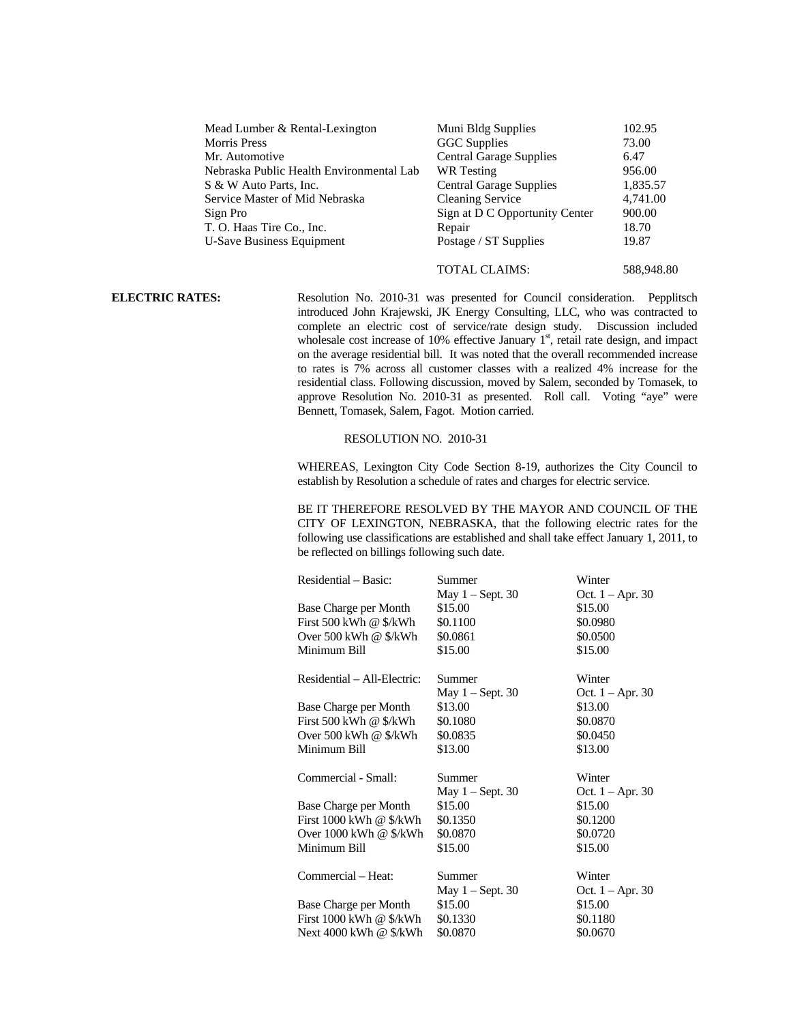| Mead Lumber & Rental-Lexington           | Muni Bldg Supplies             | 102.95   |
|------------------------------------------|--------------------------------|----------|
| <b>Morris Press</b>                      | <b>GGC</b> Supplies            | 73.00    |
| Mr. Automotive                           | <b>Central Garage Supplies</b> | 6.47     |
| Nebraska Public Health Environmental Lab | WR Testing                     | 956.00   |
| S & W Auto Parts, Inc.                   | <b>Central Garage Supplies</b> | 1,835.57 |
| Service Master of Mid Nebraska           | <b>Cleaning Service</b>        | 4,741.00 |
| Sign Pro                                 | Sign at D C Opportunity Center | 900.00   |
| T. O. Haas Tire Co., Inc.                | Repair                         | 18.70    |
| <b>U-Save Business Equipment</b>         | Postage / ST Supplies          | 19.87    |
|                                          |                                |          |

## TOTAL CLAIMS: 588,948.80

**ELECTRIC RATES:** Resolution No. 2010-31 was presented for Council consideration. Pepplitsch introduced John Krajewski, JK Energy Consulting, LLC, who was contracted to complete an electric cost of service/rate design study. Discussion included wholesale cost increase of 10% effective January  $1<sup>st</sup>$ , retail rate design, and impact on the average residential bill. It was noted that the overall recommended increase to rates is 7% across all customer classes with a realized 4% increase for the residential class. Following discussion, moved by Salem, seconded by Tomasek, to approve Resolution No. 2010-31 as presented. Roll call. Voting "aye" were Bennett, Tomasek, Salem, Fagot. Motion carried.

## RESOLUTION NO. 2010-31

 WHEREAS, Lexington City Code Section 8-19, authorizes the City Council to establish by Resolution a schedule of rates and charges for electric service.

 BE IT THEREFORE RESOLVED BY THE MAYOR AND COUNCIL OF THE CITY OF LEXINGTON, NEBRASKA, that the following electric rates for the following use classifications are established and shall take effect January 1, 2011, to be reflected on billings following such date.

| Residential – Basic:                                          | Summer                                    | Winter                                    |
|---------------------------------------------------------------|-------------------------------------------|-------------------------------------------|
|                                                               | May $1 -$ Sept. 30                        | Oct. $1 - Apr. 30$                        |
| Base Charge per Month                                         | \$15.00                                   | \$15.00                                   |
| First 500 kWh @ \$/kWh                                        | \$0.1100                                  | \$0.0980                                  |
| Over $500$ kWh @ $\frac{1}{2}$ kWh                            | \$0.0861                                  | \$0.0500                                  |
| Minimum Bill                                                  | \$15.00                                   | \$15.00                                   |
| Residential – All-Electric:                                   | Summer                                    | Winter                                    |
|                                                               | May $1 -$ Sept. 30                        | Oct. $1 - Apr. 30$                        |
| Base Charge per Month                                         | \$13.00                                   | \$13.00                                   |
| First 500 kWh @ \$/kWh                                        | \$0.1080                                  | \$0.0870                                  |
| Over 500 kWh @ $\frac{1}{2}$ kWh                              | \$0.0835                                  | \$0.0450                                  |
| Minimum Bill                                                  | \$13.00                                   | \$13.00                                   |
| Commercial - Small:                                           | Summer                                    | Winter                                    |
|                                                               | May $1 -$ Sept. 30                        | Oct. $1 - Apr. 30$                        |
| Base Charge per Month                                         | \$15.00                                   | \$15.00                                   |
| First 1000 kWh @ \$/kWh                                       | \$0.1350                                  | \$0.1200                                  |
|                                                               |                                           |                                           |
| Over 1000 kWh @ \$/kWh                                        | \$0.0870                                  | \$0.0720                                  |
| Minimum Bill                                                  | \$15.00                                   | \$15.00                                   |
| Commercial – Heat:                                            | Summer                                    | Winter                                    |
| Base Charge per Month<br>First $1000$ kWh @ $\frac{1}{2}$ kWh | May $1 -$ Sept. 30<br>\$15.00<br>\$0.1330 | Oct. $1 -$ Apr. 30<br>\$15.00<br>\$0.1180 |
| Next 4000 kWh @ \$/kWh                                        | \$0.0870                                  | \$0.0670                                  |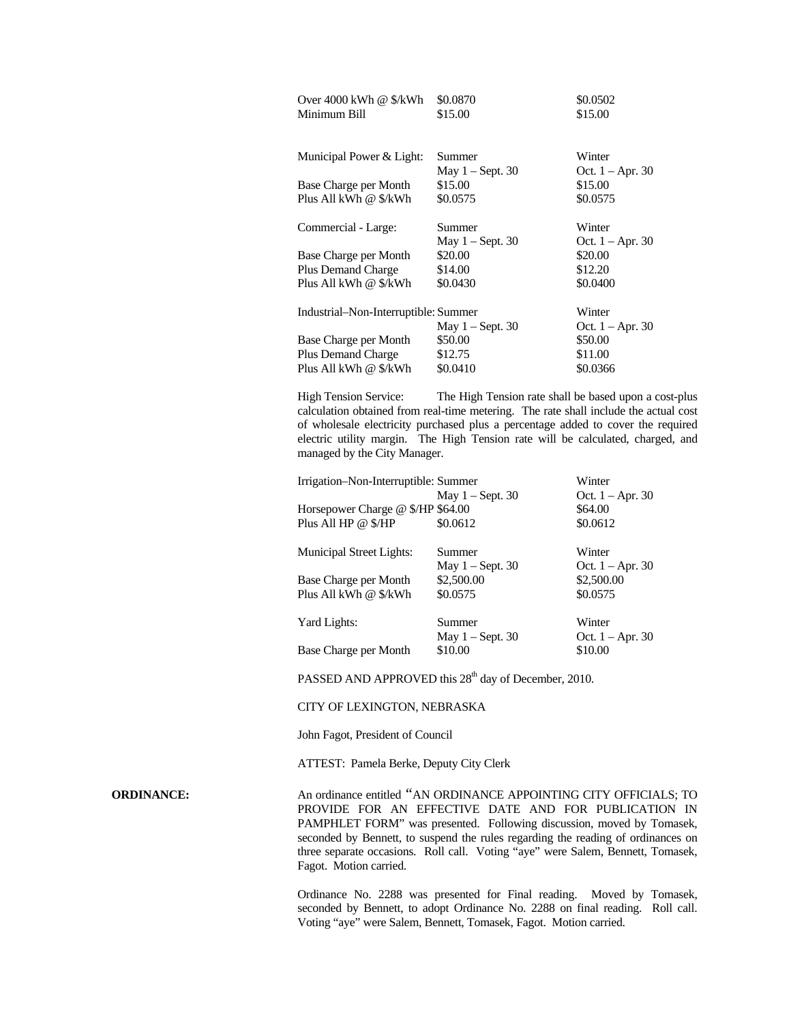| Over 4000 kWh @ \$/kWh               | \$0.0870           | \$0.0502           |
|--------------------------------------|--------------------|--------------------|
| Minimum Bill                         | \$15.00            | \$15.00            |
|                                      |                    |                    |
| Municipal Power & Light:             | Summer             | Winter             |
|                                      | May $1 -$ Sept. 30 | Oct. $1 - Apr. 30$ |
| Base Charge per Month                | \$15.00            | \$15.00            |
| Plus All kWh @ \$/kWh                | \$0.0575           | \$0.0575           |
| Commercial - Large:                  | Summer             | Winter             |
|                                      | May $1 -$ Sept. 30 | Oct. $1 -$ Apr. 30 |
| Base Charge per Month                | \$20.00            | \$20.00            |
| <b>Plus Demand Charge</b>            | \$14.00            | \$12.20            |
| Plus All kWh @ \$/kWh                | \$0.0430           | \$0.0400           |
| Industrial-Non-Interruptible: Summer |                    | Winter             |
|                                      | May $1 -$ Sept. 30 | Oct. $1 -$ Apr. 30 |
| Base Charge per Month                | \$50.00            | \$50.00            |
| <b>Plus Demand Charge</b>            | \$12.75            | \$11.00            |
| Plus All kWh @ \$/kWh                | \$0.0410           | \$0.0366           |

High Tension Service: The High Tension rate shall be based upon a cost-plus calculation obtained from real-time metering. The rate shall include the actual cost of wholesale electricity purchased plus a percentage added to cover the required electric utility margin. The High Tension rate will be calculated, charged, and managed by the City Manager.

| Irrigation-Non-Interruptible: Summer |                    | Winter             |
|--------------------------------------|--------------------|--------------------|
|                                      | May $1 -$ Sept. 30 | Oct. $1 -$ Apr. 30 |
| Horsepower Charge @ \$/HP \$64.00    |                    | \$64.00            |
| Plus All HP @ \$/HP                  | \$0.0612           | \$0.0612           |
| <b>Municipal Street Lights:</b>      | Summer             | Winter             |
|                                      | May $1 -$ Sept. 30 | Oct. $1 -$ Apr. 30 |
| Base Charge per Month                | \$2,500.00         | \$2,500.00         |
| Plus All kWh @ \$/kWh                | \$0.0575           | \$0.0575           |
| Yard Lights:                         | Summer             | Winter             |
|                                      | May $1 -$ Sept. 30 | Oct. $1 -$ Apr. 30 |
| Base Charge per Month                | \$10.00            | \$10.00            |

PASSED AND APPROVED this 28<sup>th</sup> day of December, 2010.

### CITY OF LEXINGTON, NEBRASKA

John Fagot, President of Council

ATTEST: Pamela Berke, Deputy City Clerk

**ORDINANCE:** An ordinance entitled "AN ORDINANCE APPOINTING CITY OFFICIALS; TO PROVIDE FOR AN EFFECTIVE DATE AND FOR PUBLICATION IN PAMPHLET FORM" was presented. Following discussion, moved by Tomasek, seconded by Bennett, to suspend the rules regarding the reading of ordinances on three separate occasions. Roll call. Voting "aye" were Salem, Bennett, Tomasek, Fagot. Motion carried.

> Ordinance No. 2288 was presented for Final reading. Moved by Tomasek, seconded by Bennett, to adopt Ordinance No. 2288 on final reading. Roll call. Voting "aye" were Salem, Bennett, Tomasek, Fagot. Motion carried.